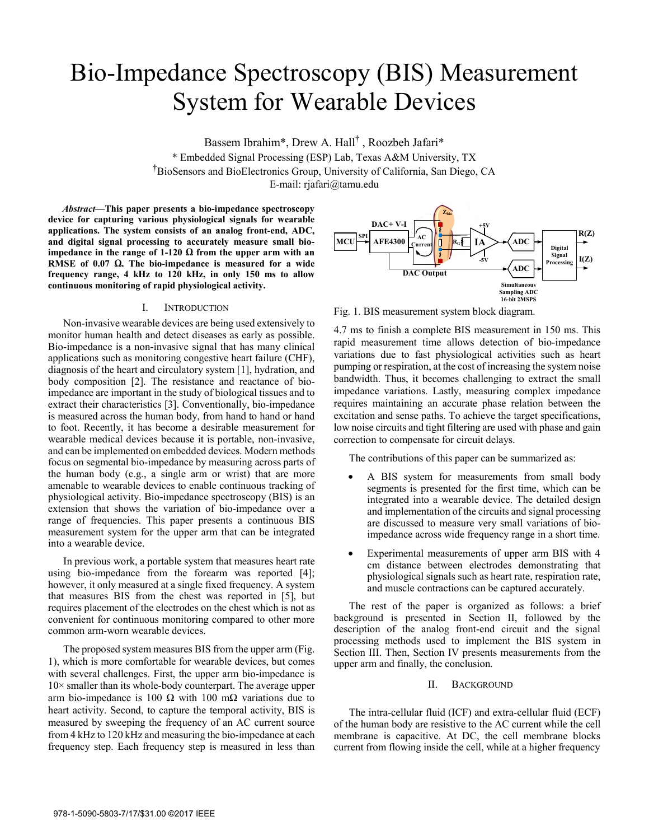# Bio-Impedance Spectroscopy (BIS) Measurement System for Wearable Devices

Bassem Ibrahim\*, Drew A. Hall<sup>†</sup>, Roozbeh Jafari\*

\* Embedded Signal Processing (ESP) Lab, Texas A&M University, TX † BioSensors and BioElectronics Group, University of California, San Diego, CA E-mail: rjafari@tamu.edu

*Abstract***—This paper presents a bio-impedance spectroscopy device for capturing various physiological signals for wearable applications. The system consists of an analog front-end, ADC, and digital signal processing to accurately measure small bioimpedance in the range of 1-120**  $\Omega$  **from the upper arm with an RMSE of 0.07 . The bio-impedance is measured for a wide frequency range, 4 kHz to 120 kHz, in only 150 ms to allow continuous monitoring of rapid physiological activity.** 

## I. INTRODUCTION

Non-invasive wearable devices are being used extensively to monitor human health and detect diseases as early as possible. Bio-impedance is a non-invasive signal that has many clinical applications such as monitoring congestive heart failure (CHF), diagnosis of the heart and circulatory system [1], hydration, and body composition [2]. The resistance and reactance of bioimpedance are important in the study of biological tissues and to extract their characteristics [3]. Conventionally, bio-impedance is measured across the human body, from hand to hand or hand to foot. Recently, it has become a desirable measurement for wearable medical devices because it is portable, non-invasive, and can be implemented on embedded devices. Modern methods focus on segmental bio-impedance by measuring across parts of the human body (e.g., a single arm or wrist) that are more amenable to wearable devices to enable continuous tracking of physiological activity. Bio-impedance spectroscopy (BIS) is an extension that shows the variation of bio-impedance over a range of frequencies. This paper presents a continuous BIS measurement system for the upper arm that can be integrated into a wearable device.

In previous work, a portable system that measures heart rate using bio-impedance from the forearm was reported [4]; however, it only measured at a single fixed frequency. A system that measures BIS from the chest was reported in [5], but requires placement of the electrodes on the chest which is not as convenient for continuous monitoring compared to other more common arm-worn wearable devices.

 The proposed system measures BIS from the upper arm (Fig. 1), which is more comfortable for wearable devices, but comes with several challenges. First, the upper arm bio-impedance is  $10\times$  smaller than its whole-body counterpart. The average upper arm bio-impedance is 100  $\Omega$  with 100 m $\Omega$  variations due to heart activity. Second, to capture the temporal activity, BIS is measured by sweeping the frequency of an AC current source from 4 kHz to 120 kHz and measuring the bio-impedance at each frequency step. Each frequency step is measured in less than



Fig. 1. BIS measurement system block diagram.

4.7 ms to finish a complete BIS measurement in 150 ms. This rapid measurement time allows detection of bio-impedance variations due to fast physiological activities such as heart pumping or respiration, at the cost of increasing the system noise bandwidth. Thus, it becomes challenging to extract the small impedance variations. Lastly, measuring complex impedance requires maintaining an accurate phase relation between the excitation and sense paths. To achieve the target specifications, low noise circuits and tight filtering are used with phase and gain correction to compensate for circuit delays.

The contributions of this paper can be summarized as:

- A BIS system for measurements from small body segments is presented for the first time, which can be integrated into a wearable device. The detailed design and implementation of the circuits and signal processing are discussed to measure very small variations of bioimpedance across wide frequency range in a short time.
- Experimental measurements of upper arm BIS with 4 cm distance between electrodes demonstrating that physiological signals such as heart rate, respiration rate, and muscle contractions can be captured accurately.

The rest of the paper is organized as follows: a brief background is presented in Section II, followed by the description of the analog front-end circuit and the signal processing methods used to implement the BIS system in Section III. Then, Section IV presents measurements from the upper arm and finally, the conclusion.

## II. BACKGROUND

The intra-cellular fluid (ICF) and extra-cellular fluid (ECF) of the human body are resistive to the AC current while the cell membrane is capacitive. At DC, the cell membrane blocks current from flowing inside the cell, while at a higher frequency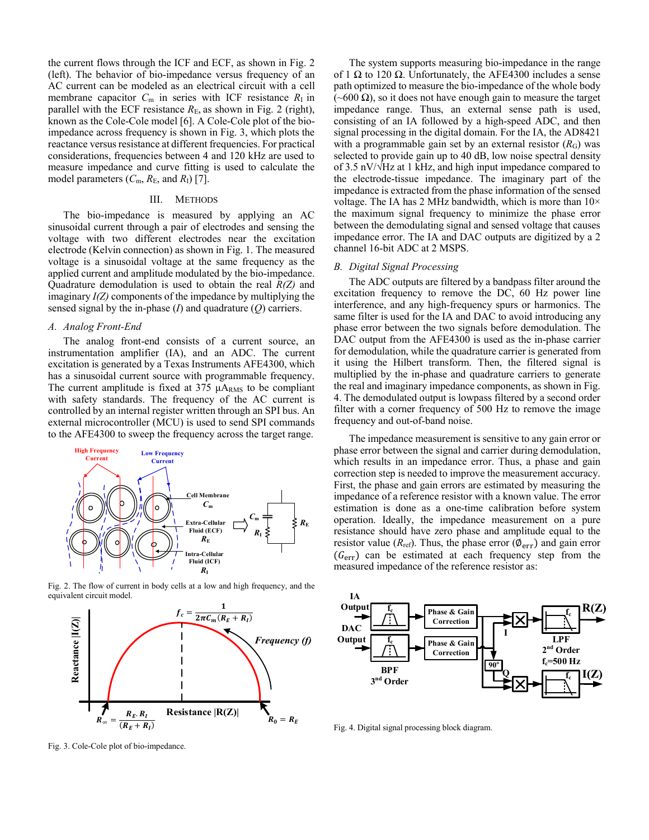the current flows through the ICF and ECF, as shown in Fig. 2 (left). The behavior of bio-impedance versus frequency of an AC current can be modeled as an electrical circuit with a cell membrane capacitor  $C_m$  in series with ICF resistance  $R_I$  in parallel with the ECF resistance  $R<sub>E</sub>$ , as shown in Fig. 2 (right), known as the Cole-Cole model [6]. A Cole-Cole plot of the bioimpedance across frequency is shown in Fig. 3, which plots the reactance versus resistance at different frequencies. For practical considerations, frequencies between 4 and 120 kHz are used to measure impedance and curve fitting is used to calculate the model parameters  $(C_m, R_E, \text{ and } R_I)$  [7].

## III. METHODS

The bio-impedance is measured by applying an AC sinusoidal current through a pair of electrodes and sensing the voltage with two different electrodes near the excitation electrode (Kelvin connection) as shown in Fig. 1. The measured voltage is a sinusoidal voltage at the same frequency as the applied current and amplitude modulated by the bio-impedance. Quadrature demodulation is used to obtain the real *R(Z)* and imaginary *I(Z)* components of the impedance by multiplying the sensed signal by the in-phase (*I*) and quadrature (*Q*) carriers.

## *A. Analog Front-End*

The analog front-end consists of a current source, an instrumentation amplifier (IA), and an ADC. The current excitation is generated by a Texas Instruments AFE4300, which has a sinusoidal current source with programmable frequency. The current amplitude is fixed at  $375 \mu A_{RMS}$  to be compliant with safety standards. The frequency of the AC current is controlled by an internal register written through an SPI bus. An external microcontroller (MCU) is used to send SPI commands to the AFE4300 to sweep the frequency across the target range.



Fig. 2. The flow of current in body cells at a low and high frequency, and the equivalent circuit model.



Fig. 3. Cole-Cole plot of bio-impedance.

The system supports measuring bio-impedance in the range of 1  $\Omega$  to 120  $\Omega$ . Unfortunately, the AFE4300 includes a sense path optimized to measure the bio-impedance of the whole body  $(\sim 600 \Omega)$ , so it does not have enough gain to measure the target impedance range. Thus, an external sense path is used, consisting of an IA followed by a high-speed ADC, and then signal processing in the digital domain. For the IA, the AD8421 with a programmable gain set by an external resistor  $(R_G)$  was selected to provide gain up to 40 dB, low noise spectral density of 3.5 nV/ $\sqrt{Hz}$  at 1 kHz, and high input impedance compared to the electrode-tissue impedance. The imaginary part of the impedance is extracted from the phase information of the sensed voltage. The IA has 2 MHz bandwidth, which is more than  $10\times$ the maximum signal frequency to minimize the phase error between the demodulating signal and sensed voltage that causes impedance error. The IA and DAC outputs are digitized by a 2 channel 16-bit ADC at 2 MSPS.

## *B. Digital Signal Processing*

The ADC outputs are filtered by a bandpass filter around the excitation frequency to remove the DC, 60 Hz power line interference, and any high-frequency spurs or harmonics. The same filter is used for the IA and DAC to avoid introducing any phase error between the two signals before demodulation. The DAC output from the AFE4300 is used as the in-phase carrier for demodulation, while the quadrature carrier is generated from it using the Hilbert transform. Then, the filtered signal is multiplied by the in-phase and quadrature carriers to generate the real and imaginary impedance components, as shown in Fig. 4. The demodulated output is lowpass filtered by a second order filter with a corner frequency of 500 Hz to remove the image frequency and out-of-band noise.

The impedance measurement is sensitive to any gain error or phase error between the signal and carrier during demodulation, which results in an impedance error. Thus, a phase and gain correction step is needed to improve the measurement accuracy. First, the phase and gain errors are estimated by measuring the impedance of a reference resistor with a known value. The error estimation is done as a one-time calibration before system operation. Ideally, the impedance measurement on a pure resistance should have zero phase and amplitude equal to the resistor value ( $R_{ref}$ ). Thus, the phase error ( $\phi$ <sub>err</sub>) and gain error  $(G<sub>err</sub>)$  can be estimated at each frequency step from the measured impedance of the reference resistor as:



Fig. 4. Digital signal processing block diagram.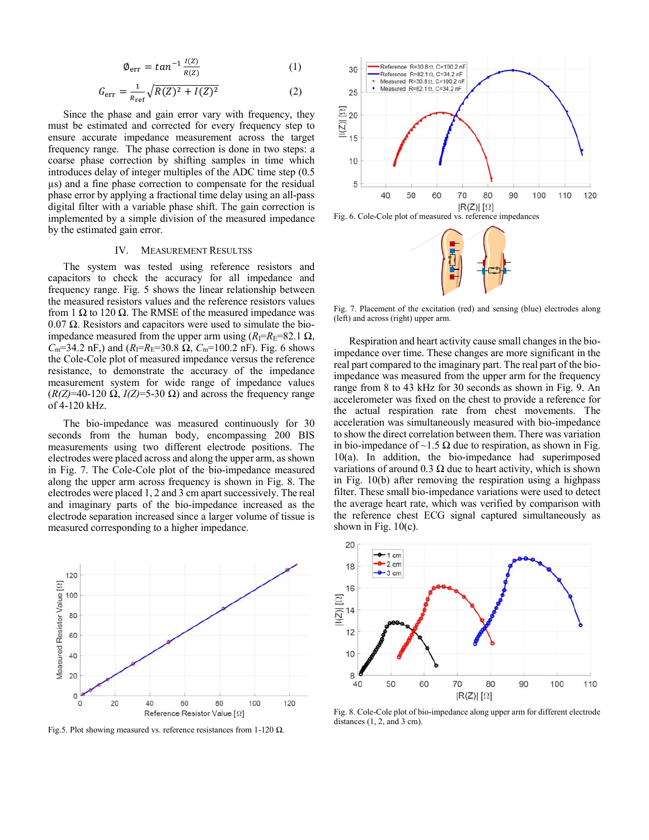$$
\phi_{\text{err}} = \tan^{-1} \frac{l(\mathbf{Z})}{R(\mathbf{Z})} \tag{1}
$$

$$
G_{\rm err} = \frac{1}{R_{\rm ref}} \sqrt{R(Z)^2 + I(Z)^2} \tag{2}
$$

Since the phase and gain error vary with frequency, they must be estimated and corrected for every frequency step to ensure accurate impedance measurement across the target frequency range. The phase correction is done in two steps: a coarse phase correction by shifting samples in time which introduces delay of integer multiples of the ADC time step (0.5 μs) and a fine phase correction to compensate for the residual phase error by applying a fractional time delay using an all-pass digital filter with a variable phase shift. The gain correction is implemented by a simple division of the measured impedance by the estimated gain error.

#### IV. MEASUREMENT RESULTSS

The system was tested using reference resistors and capacitors to check the accuracy for all impedance and frequency range. Fig. 5 shows the linear relationship between the measured resistors values and the reference resistors values from 1  $\Omega$  to 120  $\Omega$ . The RMSE of the measured impedance was  $0.07 \Omega$ . Resistors and capacitors were used to simulate the bioimpedance measured from the upper arm using  $(R_I=R_E=82.1 \Omega)$ ,  $C_m$ =34.2 nF,) and  $(R_I = R_E = 30.8 \Omega, C_m = 100.2 \text{ nF})$ . Fig. 6 shows the Cole-Cole plot of measured impedance versus the reference resistance, to demonstrate the accuracy of the impedance measurement system for wide range of impedance values  $(R/Z)$ =40-120  $\Omega$ ,  $I(Z)$ =5-30  $\Omega$ ) and across the frequency range of 4-120 kHz.

The bio-impedance was measured continuously for 30 seconds from the human body, encompassing 200 BIS measurements using two different electrode positions. The electrodes were placed across and along the upper arm, as shown in Fig. 7. The Cole-Cole plot of the bio-impedance measured along the upper arm across frequency is shown in Fig. 8. The electrodes were placed 1, 2 and 3 cm apart successively. The real and imaginary parts of the bio-impedance increased as the electrode separation increased since a larger volume of tissue is measured corresponding to a higher impedance.



Fig.5. Plot showing measured vs. reference resistances from 1-120  $\Omega$ .



Fig. 6. Cole-Cole plot of measured vs. reference impedances



Fig. 7. Placement of the excitation (red) and sensing (blue) electrodes along (left) and across (right) upper arm.

Respiration and heart activity cause small changes in the bioimpedance over time. These changes are more significant in the real part compared to the imaginary part. The real part of the bioimpedance was measured from the upper arm for the frequency range from 8 to 43 kHz for 30 seconds as shown in Fig. 9. An accelerometer was fixed on the chest to provide a reference for the actual respiration rate from chest movements. The acceleration was simultaneously measured with bio-impedance to show the direct correlation between them. There was variation in bio-impedance of  $\sim$ 1.5  $\Omega$  due to respiration, as shown in Fig. 10(a). In addition, the bio-impedance had superimposed variations of around 0.3  $\Omega$  due to heart activity, which is shown in Fig. 10(b) after removing the respiration using a highpass filter. These small bio-impedance variations were used to detect the average heart rate, which was verified by comparison with the reference chest ECG signal captured simultaneously as shown in Fig.  $10(c)$ .



Fig. 8. Cole-Cole plot of bio-impedance along upper arm for different electrode distances  $(1, 2,$  and 3 cm).